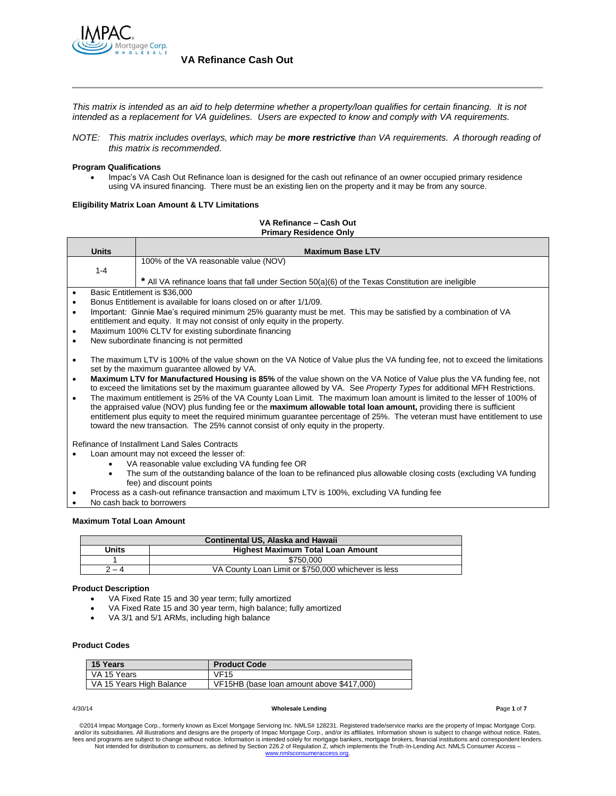

*This matrix is intended as an aid to help determine whether a property/loan qualifies for certain financing. It is not intended as a replacement for VA guidelines. Users are expected to know and comply with VA requirements.*

*NOTE: This matrix includes overlays, which may be more restrictive than VA requirements. A thorough reading of this matrix is recommended.*

### **Program Qualifications**

 Impac's VA Cash Out Refinance loan is designed for the cash out refinance of an owner occupied primary residence using VA insured financing. There must be an existing lien on the property and it may be from any source.

### **Eligibility Matrix Loan Amount & LTV Limitations**

### **VA Refinance – Cash Out Primary Residence Only**

|           | <b>Units</b><br><b>Maximum Base LTV</b>                                                                                                                                                                                                         |                                                                                                                                                |  |
|-----------|-------------------------------------------------------------------------------------------------------------------------------------------------------------------------------------------------------------------------------------------------|------------------------------------------------------------------------------------------------------------------------------------------------|--|
|           |                                                                                                                                                                                                                                                 | 100% of the VA reasonable value (NOV)                                                                                                          |  |
|           | $1 - 4$                                                                                                                                                                                                                                         |                                                                                                                                                |  |
|           |                                                                                                                                                                                                                                                 | * All VA refinance loans that fall under Section 50(a)(6) of the Texas Constitution are ineligible                                             |  |
|           |                                                                                                                                                                                                                                                 | Basic Entitlement is \$36,000                                                                                                                  |  |
| ٠         |                                                                                                                                                                                                                                                 | Bonus Entitlement is available for loans closed on or after 1/1/09.                                                                            |  |
| $\bullet$ |                                                                                                                                                                                                                                                 | Important: Ginnie Mae's required minimum 25% guaranty must be met. This may be satisfied by a combination of VA                                |  |
| ٠         |                                                                                                                                                                                                                                                 | entitlement and equity. It may not consist of only equity in the property.<br>Maximum 100% CLTV for existing subordinate financing             |  |
| $\bullet$ |                                                                                                                                                                                                                                                 | New subordinate financing is not permitted                                                                                                     |  |
|           |                                                                                                                                                                                                                                                 |                                                                                                                                                |  |
| $\bullet$ |                                                                                                                                                                                                                                                 | The maximum LTV is 100% of the value shown on the VA Notice of Value plus the VA funding fee, not to exceed the limitations                    |  |
|           |                                                                                                                                                                                                                                                 | set by the maximum guarantee allowed by VA.                                                                                                    |  |
| $\bullet$ | Maximum LTV for Manufactured Housing is 85% of the value shown on the VA Notice of Value plus the VA funding fee, not                                                                                                                           |                                                                                                                                                |  |
|           | to exceed the limitations set by the maximum guarantee allowed by VA. See Property Types for additional MFH Restrictions.                                                                                                                       |                                                                                                                                                |  |
| $\bullet$ | The maximum entitlement is 25% of the VA County Loan Limit. The maximum loan amount is limited to the lesser of 100% of<br>the appraised value (NOV) plus funding fee or the maximum allowable total loan amount, providing there is sufficient |                                                                                                                                                |  |
|           | entitlement plus equity to meet the required minimum guarantee percentage of 25%. The veteran must have entitlement to use                                                                                                                      |                                                                                                                                                |  |
|           | toward the new transaction. The 25% cannot consist of only equity in the property.                                                                                                                                                              |                                                                                                                                                |  |
|           |                                                                                                                                                                                                                                                 |                                                                                                                                                |  |
|           |                                                                                                                                                                                                                                                 | Refinance of Installment Land Sales Contracts                                                                                                  |  |
|           |                                                                                                                                                                                                                                                 | Loan amount may not exceed the lesser of:                                                                                                      |  |
|           |                                                                                                                                                                                                                                                 | VA reasonable value excluding VA funding fee OR                                                                                                |  |
|           |                                                                                                                                                                                                                                                 | The sum of the outstanding balance of the loan to be refinanced plus allowable closing costs (excluding VA funding<br>fee) and discount points |  |
|           |                                                                                                                                                                                                                                                 | Process as a cash-out refinance transaction and maximum LTV is 100%, excluding VA funding fee                                                  |  |
|           |                                                                                                                                                                                                                                                 | No cash back to borrowers                                                                                                                      |  |
|           |                                                                                                                                                                                                                                                 |                                                                                                                                                |  |

## **Maximum Total Loan Amount**

| <b>Continental US. Alaska and Hawaii</b>          |                                                     |  |  |
|---------------------------------------------------|-----------------------------------------------------|--|--|
| Units<br><b>Highest Maximum Total Loan Amount</b> |                                                     |  |  |
| \$750,000                                         |                                                     |  |  |
| 2 – 4                                             | VA County Loan Limit or \$750,000 whichever is less |  |  |

### **Product Description**

- VA Fixed Rate 15 and 30 year term; fully amortized
- VA Fixed Rate 15 and 30 year term, high balance; fully amortized
- VA 3/1 and 5/1 ARMs, including high balance

## **Product Codes**

| <b>15 Years</b>          | <b>Product Code</b>                       |
|--------------------------|-------------------------------------------|
| VA 15 Years              | <b>VF15</b>                               |
| VA 15 Years High Balance | VF15HB (base loan amount above \$417,000) |

#### 4/30/14 **Wholesale Lending P**age **1** of **7**

©2014 Impac Mortgage Corp., formerly known as Excel Mortgage Servicing Inc. NMLS# 128231. Registered trade/service marks are the property of Impac Mortgage Corp.<br>and/or its subsidiaries. All illustrations and designs are t fees and programs are subject to change without notice. Information is intended solely for mortgage bankers, mortgage brokers, financial institutions and correspondent lenders.<br>Not intended for distribution to consumers, a www.nmlsconsumeraccess.org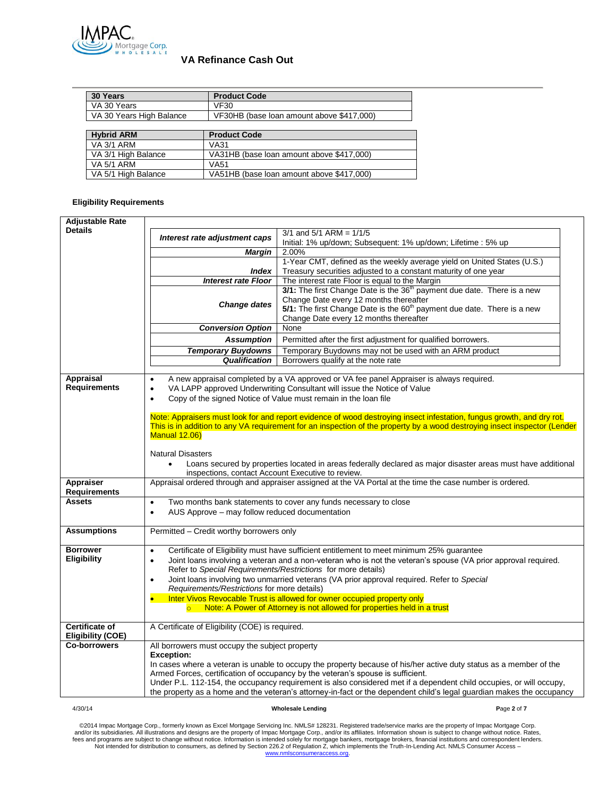

| 30 Years                 | <b>Product Code</b>                       |  |
|--------------------------|-------------------------------------------|--|
| VA 30 Years              | VF30                                      |  |
| VA 30 Years High Balance | VF30HB (base loan amount above \$417,000) |  |
|                          |                                           |  |
| <b>Hybrid ARM</b>        | <b>Product Code</b>                       |  |
| <b>VA 3/1 ARM</b>        | VA31                                      |  |
| VA 3/1 High Balance      | VA31HB (base loan amount above \$417,000) |  |
| <b>VA 5/1 ARM</b>        | VA51                                      |  |
| VA 5/1 High Balance      | VA51HB (base loan amount above \$417,000) |  |

## **Eligibility Requirements**

| <b>Adjustable Rate</b>                                                                                                 |                                                                                                           |                                                                                                                           |  |  |  |
|------------------------------------------------------------------------------------------------------------------------|-----------------------------------------------------------------------------------------------------------|---------------------------------------------------------------------------------------------------------------------------|--|--|--|
| <b>Details</b>                                                                                                         | Interest rate adjustment caps                                                                             | $3/1$ and $5/1$ ARM = $1/1/5$                                                                                             |  |  |  |
|                                                                                                                        |                                                                                                           | Initial: 1% up/down; Subsequent: 1% up/down; Lifetime : 5% up                                                             |  |  |  |
|                                                                                                                        | Margin                                                                                                    | 2.00%                                                                                                                     |  |  |  |
|                                                                                                                        |                                                                                                           | 1-Year CMT, defined as the weekly average yield on United States (U.S.)                                                   |  |  |  |
|                                                                                                                        | <b>Index</b>                                                                                              | Treasury securities adjusted to a constant maturity of one year                                                           |  |  |  |
|                                                                                                                        | <b>Interest rate Floor</b>                                                                                | The interest rate Floor is equal to the Margin                                                                            |  |  |  |
|                                                                                                                        |                                                                                                           | 3/1: The first Change Date is the 36 <sup>th</sup> payment due date. There is a new                                       |  |  |  |
|                                                                                                                        | <b>Change dates</b>                                                                                       | Change Date every 12 months thereafter                                                                                    |  |  |  |
|                                                                                                                        |                                                                                                           | 5/1: The first Change Date is the 60 <sup>th</sup> payment due date. There is a new                                       |  |  |  |
|                                                                                                                        | Change Date every 12 months thereafter                                                                    |                                                                                                                           |  |  |  |
|                                                                                                                        | <b>Conversion Option</b>                                                                                  | None                                                                                                                      |  |  |  |
|                                                                                                                        | <b>Assumption</b>                                                                                         | Permitted after the first adjustment for qualified borrowers.                                                             |  |  |  |
|                                                                                                                        | <b>Temporary Buydowns</b>                                                                                 | Temporary Buydowns may not be used with an ARM product                                                                    |  |  |  |
|                                                                                                                        | Qualification                                                                                             | Borrowers qualify at the note rate                                                                                        |  |  |  |
|                                                                                                                        |                                                                                                           |                                                                                                                           |  |  |  |
| Appraisal<br><b>Requirements</b>                                                                                       |                                                                                                           | A new appraisal completed by a VA approved or VA fee panel Appraiser is always required.                                  |  |  |  |
|                                                                                                                        | $\bullet$                                                                                                 | VA LAPP approved Underwriting Consultant will issue the Notice of Value                                                   |  |  |  |
|                                                                                                                        | $\bullet$                                                                                                 | Copy of the signed Notice of Value must remain in the loan file                                                           |  |  |  |
| Note: Appraisers must look for and report evidence of wood destroying insect infestation, fungus growth, and dry rot.  |                                                                                                           |                                                                                                                           |  |  |  |
|                                                                                                                        |                                                                                                           | This is in addition to any VA requirement for an inspection of the property by a wood destroying insect inspector (Lender |  |  |  |
|                                                                                                                        | <b>Manual 12.06)</b>                                                                                      |                                                                                                                           |  |  |  |
|                                                                                                                        |                                                                                                           |                                                                                                                           |  |  |  |
|                                                                                                                        | <b>Natural Disasters</b>                                                                                  |                                                                                                                           |  |  |  |
|                                                                                                                        | $\bullet$                                                                                                 | Loans secured by properties located in areas federally declared as major disaster areas must have additional              |  |  |  |
|                                                                                                                        | inspections, contact Account Executive to review.                                                         |                                                                                                                           |  |  |  |
| Appraiser                                                                                                              | Appraisal ordered through and appraiser assigned at the VA Portal at the time the case number is ordered. |                                                                                                                           |  |  |  |
| <b>Requirements</b>                                                                                                    |                                                                                                           |                                                                                                                           |  |  |  |
| <b>Assets</b><br>Two months bank statements to cover any funds necessary to close<br>$\bullet$                         |                                                                                                           |                                                                                                                           |  |  |  |
|                                                                                                                        | AUS Approve - may follow reduced documentation<br>$\bullet$                                               |                                                                                                                           |  |  |  |
|                                                                                                                        |                                                                                                           |                                                                                                                           |  |  |  |
| <b>Assumptions</b>                                                                                                     | Permitted - Credit worthy borrowers only                                                                  |                                                                                                                           |  |  |  |
| <b>Borrower</b>                                                                                                        |                                                                                                           |                                                                                                                           |  |  |  |
| <b>Eligibility</b>                                                                                                     | $\bullet$                                                                                                 | Certificate of Eligibility must have sufficient entitlement to meet minimum 25% guarantee                                 |  |  |  |
|                                                                                                                        | $\bullet$                                                                                                 | Joint loans involving a veteran and a non-veteran who is not the veteran's spouse (VA prior approval required.            |  |  |  |
|                                                                                                                        | Refer to Special Requirements/Restrictions for more details)                                              |                                                                                                                           |  |  |  |
|                                                                                                                        | Joint loans involving two unmarried veterans (VA prior approval required. Refer to Special                |                                                                                                                           |  |  |  |
| Requirements/Restrictions for more details)<br>Inter Vivos Revocable Trust is allowed for owner occupied property only |                                                                                                           |                                                                                                                           |  |  |  |
|                                                                                                                        |                                                                                                           |                                                                                                                           |  |  |  |
| Note: A Power of Attorney is not allowed for properties held in a trust                                                |                                                                                                           |                                                                                                                           |  |  |  |
| <b>Certificate of</b>                                                                                                  | A Certificate of Eligibility (COE) is required.                                                           |                                                                                                                           |  |  |  |
| <b>Eligibility (COE)</b>                                                                                               |                                                                                                           |                                                                                                                           |  |  |  |
| <b>Co-borrowers</b>                                                                                                    | All borrowers must occupy the subject property                                                            |                                                                                                                           |  |  |  |
|                                                                                                                        | <b>Exception:</b>                                                                                         |                                                                                                                           |  |  |  |
| In cases where a veteran is unable to occupy the property because of his/her active duty status as a member of the     |                                                                                                           |                                                                                                                           |  |  |  |
| Armed Forces, certification of occupancy by the veteran's spouse is sufficient.                                        |                                                                                                           |                                                                                                                           |  |  |  |
|                                                                                                                        |                                                                                                           | Under P.L. 112-154, the occupancy requirement is also considered met if a dependent child occupies, or will occupy,       |  |  |  |
| the property as a home and the veteran's attorney-in-fact or the dependent child's legal guardian makes the occupancy  |                                                                                                           |                                                                                                                           |  |  |  |

### 4/30/14 **Wholesale Lending P**age **2** of **7**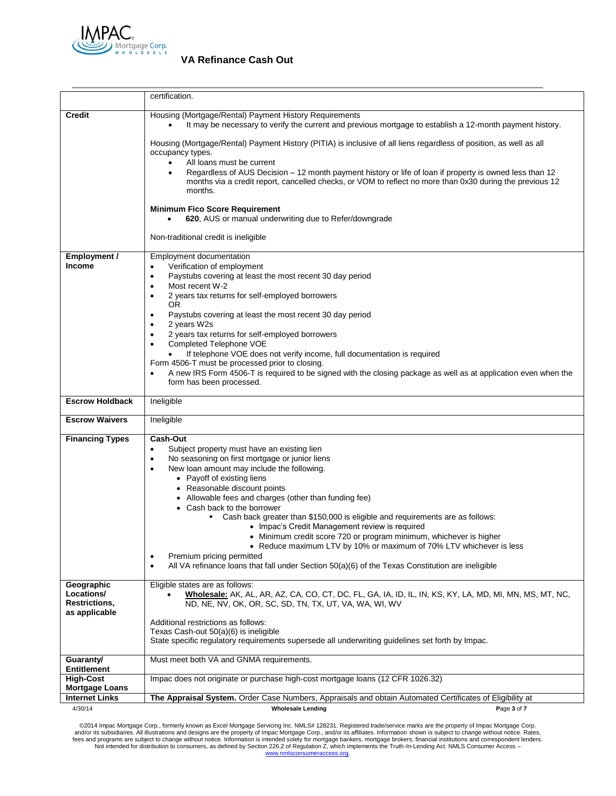

|                                                                                                                                                                                                                                                                                                                                                                                                                                                                                                                                                                                                                                                                                                                                                                 | certification.                                                                                                                                                                                                                                                                                                                                                                                                                                                                                                                                                                                                                                                                                                                                                                                       |  |  |
|-----------------------------------------------------------------------------------------------------------------------------------------------------------------------------------------------------------------------------------------------------------------------------------------------------------------------------------------------------------------------------------------------------------------------------------------------------------------------------------------------------------------------------------------------------------------------------------------------------------------------------------------------------------------------------------------------------------------------------------------------------------------|------------------------------------------------------------------------------------------------------------------------------------------------------------------------------------------------------------------------------------------------------------------------------------------------------------------------------------------------------------------------------------------------------------------------------------------------------------------------------------------------------------------------------------------------------------------------------------------------------------------------------------------------------------------------------------------------------------------------------------------------------------------------------------------------------|--|--|
| <b>Credit</b>                                                                                                                                                                                                                                                                                                                                                                                                                                                                                                                                                                                                                                                                                                                                                   | Housing (Mortgage/Rental) Payment History Requirements<br>It may be necessary to verify the current and previous mortgage to establish a 12-month payment history.                                                                                                                                                                                                                                                                                                                                                                                                                                                                                                                                                                                                                                   |  |  |
|                                                                                                                                                                                                                                                                                                                                                                                                                                                                                                                                                                                                                                                                                                                                                                 | Housing (Mortgage/Rental) Payment History (PITIA) is inclusive of all liens regardless of position, as well as all<br>occupancy types.<br>All loans must be current<br>Regardless of AUS Decision - 12 month payment history or life of loan if property is owned less than 12<br>$\bullet$<br>months via a credit report, cancelled checks, or VOM to reflect no more than 0x30 during the previous 12<br>months.                                                                                                                                                                                                                                                                                                                                                                                   |  |  |
|                                                                                                                                                                                                                                                                                                                                                                                                                                                                                                                                                                                                                                                                                                                                                                 | <b>Minimum Fico Score Requirement</b><br>620, AUS or manual underwriting due to Refer/downgrade                                                                                                                                                                                                                                                                                                                                                                                                                                                                                                                                                                                                                                                                                                      |  |  |
|                                                                                                                                                                                                                                                                                                                                                                                                                                                                                                                                                                                                                                                                                                                                                                 | Non-traditional credit is ineligible                                                                                                                                                                                                                                                                                                                                                                                                                                                                                                                                                                                                                                                                                                                                                                 |  |  |
| Employment /<br>Employment documentation<br>Income<br>Verification of employment<br>$\bullet$<br>Paystubs covering at least the most recent 30 day period<br>$\bullet$<br>Most recent W-2<br>$\bullet$<br>2 years tax returns for self-employed borrowers<br>$\bullet$<br>OR.<br>Paystubs covering at least the most recent 30 day period<br>٠<br>2 years W2s<br>$\bullet$<br>2 years tax returns for self-employed borrowers<br>$\bullet$<br>Completed Telephone VOE<br>$\bullet$<br>If telephone VOE does not verify income, full documentation is required<br>Form 4506-T must be processed prior to closing.<br>A new IRS Form 4506-T is required to be signed with the closing package as well as at application even when the<br>form has been processed. |                                                                                                                                                                                                                                                                                                                                                                                                                                                                                                                                                                                                                                                                                                                                                                                                      |  |  |
| <b>Escrow Holdback</b>                                                                                                                                                                                                                                                                                                                                                                                                                                                                                                                                                                                                                                                                                                                                          | Ineligible                                                                                                                                                                                                                                                                                                                                                                                                                                                                                                                                                                                                                                                                                                                                                                                           |  |  |
| <b>Escrow Waivers</b>                                                                                                                                                                                                                                                                                                                                                                                                                                                                                                                                                                                                                                                                                                                                           | Ineligible                                                                                                                                                                                                                                                                                                                                                                                                                                                                                                                                                                                                                                                                                                                                                                                           |  |  |
| <b>Financing Types</b>                                                                                                                                                                                                                                                                                                                                                                                                                                                                                                                                                                                                                                                                                                                                          | Cash-Out<br>Subject property must have an existing lien<br>$\bullet$<br>No seasoning on first mortgage or junior liens<br>$\bullet$<br>New loan amount may include the following.<br>$\bullet$<br>• Payoff of existing liens<br>• Reasonable discount points<br>• Allowable fees and charges (other than funding fee)<br>• Cash back to the borrower<br>Cash back greater than \$150,000 is eligible and requirements are as follows:<br>٠<br>• Impac's Credit Management review is required<br>• Minimum credit score 720 or program minimum, whichever is higher<br>• Reduce maximum LTV by 10% or maximum of 70% LTV whichever is less<br>Premium pricing permitted<br>$\bullet$<br>All VA refinance loans that fall under Section 50(a)(6) of the Texas Constitution are ineligible<br>$\bullet$ |  |  |
| Geographic<br>Locations/<br><b>Restrictions,</b><br>as applicable                                                                                                                                                                                                                                                                                                                                                                                                                                                                                                                                                                                                                                                                                               | Eligible states are as follows:<br>Wholesale: AK, AL, AR, AZ, CA, CO, CT, DC, FL, GA, IA, ID, IL, IN, KS, KY, LA, MD, MI, MN, MS, MT, NC,<br>ND, NE, NV, OK, OR, SC, SD, TN, TX, UT, VA, WA, WI, WV                                                                                                                                                                                                                                                                                                                                                                                                                                                                                                                                                                                                  |  |  |
| Additional restrictions as follows:<br>Texas Cash-out 50(a)(6) is ineligible<br>State specific regulatory requirements supersede all underwriting guidelines set forth by Impac.                                                                                                                                                                                                                                                                                                                                                                                                                                                                                                                                                                                |                                                                                                                                                                                                                                                                                                                                                                                                                                                                                                                                                                                                                                                                                                                                                                                                      |  |  |
| Guaranty/<br><b>Entitlement</b>                                                                                                                                                                                                                                                                                                                                                                                                                                                                                                                                                                                                                                                                                                                                 | Must meet both VA and GNMA requirements.                                                                                                                                                                                                                                                                                                                                                                                                                                                                                                                                                                                                                                                                                                                                                             |  |  |
| <b>High-Cost</b><br><b>Mortgage Loans</b>                                                                                                                                                                                                                                                                                                                                                                                                                                                                                                                                                                                                                                                                                                                       | Impac does not originate or purchase high-cost mortgage loans (12 CFR 1026.32)                                                                                                                                                                                                                                                                                                                                                                                                                                                                                                                                                                                                                                                                                                                       |  |  |
| <b>Internet Links</b>                                                                                                                                                                                                                                                                                                                                                                                                                                                                                                                                                                                                                                                                                                                                           | The Appraisal System. Order Case Numbers, Appraisals and obtain Automated Certificates of Eligibility at                                                                                                                                                                                                                                                                                                                                                                                                                                                                                                                                                                                                                                                                                             |  |  |
| 4/30/14                                                                                                                                                                                                                                                                                                                                                                                                                                                                                                                                                                                                                                                                                                                                                         | <b>Wholesale Lending</b><br>Page 3 of 7                                                                                                                                                                                                                                                                                                                                                                                                                                                                                                                                                                                                                                                                                                                                                              |  |  |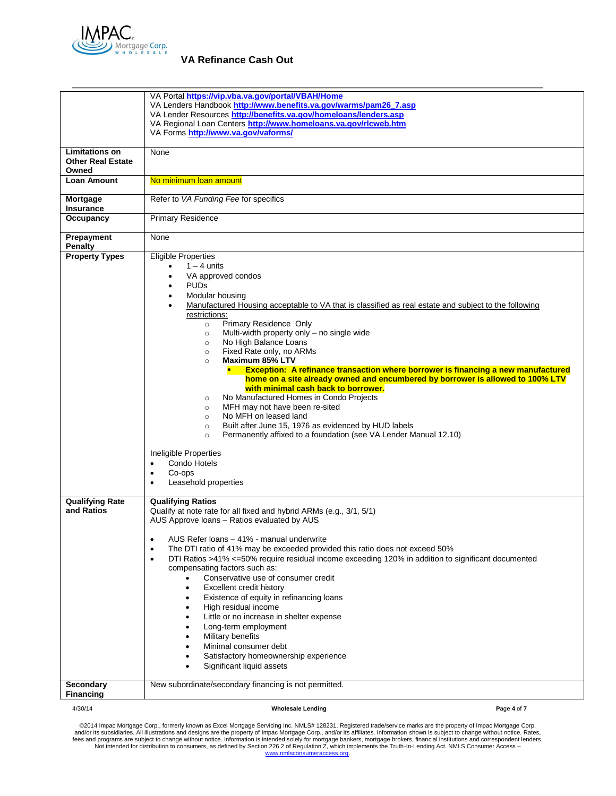

|                                                            | VA Portal https://vip.vba.va.gov/portal/VBAH/Home<br>VA Lenders Handbook http://www.benefits.va.gov/warms/pam26_7.asp<br>VA Lender Resources http://benefits.va.gov/homeloans/lenders.asp<br>VA Regional Loan Centers http://www.homeloans.va.gov/rlcweb.htm<br>VA Forms http://www.va.gov/vaforms/                                                                                                                                                                                                                                                                                                                                                                                                                                                                                                                                                                                                                                                                                                                                                         |  |  |
|------------------------------------------------------------|-------------------------------------------------------------------------------------------------------------------------------------------------------------------------------------------------------------------------------------------------------------------------------------------------------------------------------------------------------------------------------------------------------------------------------------------------------------------------------------------------------------------------------------------------------------------------------------------------------------------------------------------------------------------------------------------------------------------------------------------------------------------------------------------------------------------------------------------------------------------------------------------------------------------------------------------------------------------------------------------------------------------------------------------------------------|--|--|
| <b>Limitations on</b><br><b>Other Real Estate</b><br>Owned | None                                                                                                                                                                                                                                                                                                                                                                                                                                                                                                                                                                                                                                                                                                                                                                                                                                                                                                                                                                                                                                                        |  |  |
| <b>Loan Amount</b>                                         | No minimum loan amount                                                                                                                                                                                                                                                                                                                                                                                                                                                                                                                                                                                                                                                                                                                                                                                                                                                                                                                                                                                                                                      |  |  |
| Mortgage<br>Insurance                                      | Refer to VA Funding Fee for specifics                                                                                                                                                                                                                                                                                                                                                                                                                                                                                                                                                                                                                                                                                                                                                                                                                                                                                                                                                                                                                       |  |  |
| Occupancy                                                  | <b>Primary Residence</b>                                                                                                                                                                                                                                                                                                                                                                                                                                                                                                                                                                                                                                                                                                                                                                                                                                                                                                                                                                                                                                    |  |  |
| Prepayment<br><b>Penalty</b>                               | None                                                                                                                                                                                                                                                                                                                                                                                                                                                                                                                                                                                                                                                                                                                                                                                                                                                                                                                                                                                                                                                        |  |  |
| <b>Property Types</b>                                      | <b>Eligible Properties</b><br>$1 - 4$ units<br>VA approved condos<br><b>PUDs</b><br>Modular housing<br>Manufactured Housing acceptable to VA that is classified as real estate and subject to the following<br>restrictions:<br>Primary Residence Only<br>$\circ$<br>Multi-width property only - no single wide<br>$\circ$<br>No High Balance Loans<br>$\circ$<br>Fixed Rate only, no ARMs<br>$\circ$<br>Maximum 85% LTV<br>$\circ$<br><b>Exception: A refinance transaction where borrower is financing a new manufactured</b><br>home on a site already owned and encumbered by borrower is allowed to 100% LTV<br>with minimal cash back to borrower.<br>No Manufactured Homes in Condo Projects<br>$\circ$<br>MFH may not have been re-sited<br>$\circ$<br>No MFH on leased land<br>$\circ$<br>Built after June 15, 1976 as evidenced by HUD labels<br>$\circ$<br>Permanently affixed to a foundation (see VA Lender Manual 12.10)<br>$\circ$<br>Ineligible Properties<br>Condo Hotels<br>$\bullet$<br>Co-ops<br>٠<br>Leasehold properties<br>$\bullet$ |  |  |
| <b>Qualifying Rate</b><br>and Ratios                       | <b>Qualifying Ratios</b><br>Qualify at note rate for all fixed and hybrid ARMs (e.g., 3/1, 5/1)<br>AUS Approve loans - Ratios evaluated by AUS<br>AUS Refer loans - 41% - manual underwrite<br>The DTI ratio of 41% may be exceeded provided this ratio does not exceed 50%<br>$\bullet$<br>DTI Ratios >41% <=50% require residual income exceeding 120% in addition to significant documented<br>٠<br>compensating factors such as:<br>Conservative use of consumer credit<br>Excellent credit history<br>Existence of equity in refinancing loans<br>$\bullet$<br>High residual income<br>Little or no increase in shelter expense<br>Long-term employment<br>Military benefits<br>Minimal consumer debt<br>Satisfactory homeownership experience<br>Significant liquid assets                                                                                                                                                                                                                                                                            |  |  |
| <b>Secondary</b><br><b>Financing</b>                       | New subordinate/secondary financing is not permitted.                                                                                                                                                                                                                                                                                                                                                                                                                                                                                                                                                                                                                                                                                                                                                                                                                                                                                                                                                                                                       |  |  |
| 4/30/14                                                    | <b>Wholesale Lending</b><br>Page 4 of 7                                                                                                                                                                                                                                                                                                                                                                                                                                                                                                                                                                                                                                                                                                                                                                                                                                                                                                                                                                                                                     |  |  |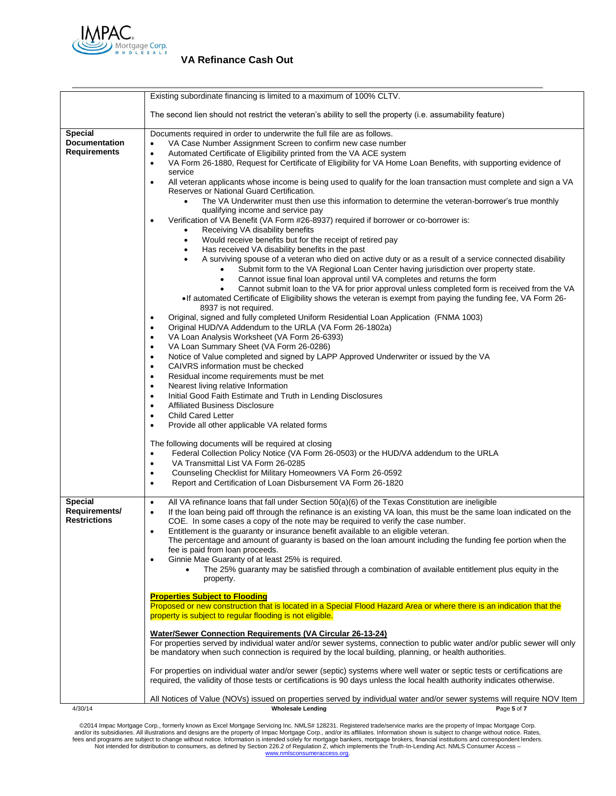

|                                                        | Existing subordinate financing is limited to a maximum of 100% CLTV.                                                                                                                                                                                                                                                                     |  |  |  |
|--------------------------------------------------------|------------------------------------------------------------------------------------------------------------------------------------------------------------------------------------------------------------------------------------------------------------------------------------------------------------------------------------------|--|--|--|
|                                                        | The second lien should not restrict the veteran's ability to sell the property (i.e. assumability feature)                                                                                                                                                                                                                               |  |  |  |
| <b>Special</b><br><b>Documentation</b>                 | Documents required in order to underwrite the full file are as follows.<br>VA Case Number Assignment Screen to confirm new case number                                                                                                                                                                                                   |  |  |  |
| <b>Requirements</b>                                    | Automated Certificate of Eligibility printed from the VA ACE system<br>$\bullet$<br>VA Form 26-1880, Request for Certificate of Eligibility for VA Home Loan Benefits, with supporting evidence of<br>$\bullet$                                                                                                                          |  |  |  |
|                                                        | service<br>All veteran applicants whose income is being used to qualify for the loan transaction must complete and sign a VA<br>$\bullet$<br>Reserves or National Guard Certification.                                                                                                                                                   |  |  |  |
|                                                        | The VA Underwriter must then use this information to determine the veteran-borrower's true monthly<br>$\bullet$<br>qualifying income and service pay                                                                                                                                                                                     |  |  |  |
|                                                        | Verification of VA Benefit (VA Form #26-8937) required if borrower or co-borrower is:<br>٠<br>Receiving VA disability benefits<br>$\bullet$<br>Would receive benefits but for the receipt of retired pay<br>٠                                                                                                                            |  |  |  |
|                                                        | Has received VA disability benefits in the past<br>٠<br>A surviving spouse of a veteran who died on active duty or as a result of a service connected disability                                                                                                                                                                         |  |  |  |
|                                                        | Submit form to the VA Regional Loan Center having jurisdiction over property state.<br>Cannot issue final loan approval until VA completes and returns the form<br>$\bullet$                                                                                                                                                             |  |  |  |
|                                                        | Cannot submit loan to the VA for prior approval unless completed form is received from the VA<br>• If automated Certificate of Eligibility shows the veteran is exempt from paying the funding fee, VA Form 26-<br>8937 is not required.                                                                                                 |  |  |  |
|                                                        | Original, signed and fully completed Uniform Residential Loan Application (FNMA 1003)<br>٠<br>Original HUD/VA Addendum to the URLA (VA Form 26-1802a)<br>$\bullet$                                                                                                                                                                       |  |  |  |
|                                                        | VA Loan Analysis Worksheet (VA Form 26-6393)<br>$\bullet$<br>VA Loan Summary Sheet (VA Form 26-0286)                                                                                                                                                                                                                                     |  |  |  |
|                                                        | Notice of Value completed and signed by LAPP Approved Underwriter or issued by the VA<br>$\bullet$                                                                                                                                                                                                                                       |  |  |  |
|                                                        | CAIVRS information must be checked<br>٠                                                                                                                                                                                                                                                                                                  |  |  |  |
|                                                        | Residual income requirements must be met<br>$\bullet$<br>Nearest living relative Information<br>$\bullet$                                                                                                                                                                                                                                |  |  |  |
|                                                        | Initial Good Faith Estimate and Truth in Lending Disclosures<br>$\bullet$                                                                                                                                                                                                                                                                |  |  |  |
|                                                        | <b>Affiliated Business Disclosure</b><br>$\bullet$<br><b>Child Cared Letter</b><br>$\bullet$                                                                                                                                                                                                                                             |  |  |  |
|                                                        | Provide all other applicable VA related forms<br>$\bullet$                                                                                                                                                                                                                                                                               |  |  |  |
|                                                        | The following documents will be required at closing                                                                                                                                                                                                                                                                                      |  |  |  |
|                                                        | Federal Collection Policy Notice (VA Form 26-0503) or the HUD/VA addendum to the URLA<br>$\bullet$<br>VA Transmittal List VA Form 26-0285                                                                                                                                                                                                |  |  |  |
|                                                        | Counseling Checklist for Military Homeowners VA Form 26-0592<br>$\bullet$                                                                                                                                                                                                                                                                |  |  |  |
|                                                        | Report and Certification of Loan Disbursement VA Form 26-1820<br>$\bullet$                                                                                                                                                                                                                                                               |  |  |  |
| <b>Special</b><br>Requirements/<br><b>Restrictions</b> | All VA refinance loans that fall under Section $50(a)(6)$ of the Texas Constitution are ineligible<br>$\bullet$<br>If the loan being paid off through the refinance is an existing VA loan, this must be the same loan indicated on the<br>$\bullet$<br>COE. In some cases a copy of the note may be required to verify the case number. |  |  |  |
|                                                        | Entitlement is the guaranty or insurance benefit available to an eligible veteran.<br>$\bullet$<br>The percentage and amount of guaranty is based on the loan amount including the funding fee portion when the<br>fee is paid from loan proceeds.                                                                                       |  |  |  |
|                                                        | Ginnie Mae Guaranty of at least 25% is required.<br>$\bullet$<br>The 25% quaranty may be satisfied through a combination of available entitlement plus equity in the<br>property.                                                                                                                                                        |  |  |  |
|                                                        | <b>Properties Subject to Flooding</b>                                                                                                                                                                                                                                                                                                    |  |  |  |
|                                                        | Proposed or new construction that is located in a Special Flood Hazard Area or where there is an indication that the<br>property is subject to regular flooding is not eligible.                                                                                                                                                         |  |  |  |
|                                                        | <b>Water/Sewer Connection Requirements (VA Circular 26-13-24)</b><br>For properties served by individual water and/or sewer systems, connection to public water and/or public sewer will only<br>be mandatory when such connection is required by the local building, planning, or health authorities.                                   |  |  |  |
|                                                        | For properties on individual water and/or sewer (septic) systems where well water or septic tests or certifications are<br>required, the validity of those tests or certifications is 90 days unless the local health authority indicates otherwise.                                                                                     |  |  |  |
|                                                        | All Notices of Value (NOVs) issued on properties served by individual water and/or sewer systems will require NOV Item                                                                                                                                                                                                                   |  |  |  |
| 4/30/14                                                | <b>Wholesale Lending</b><br>Page 5 of 7                                                                                                                                                                                                                                                                                                  |  |  |  |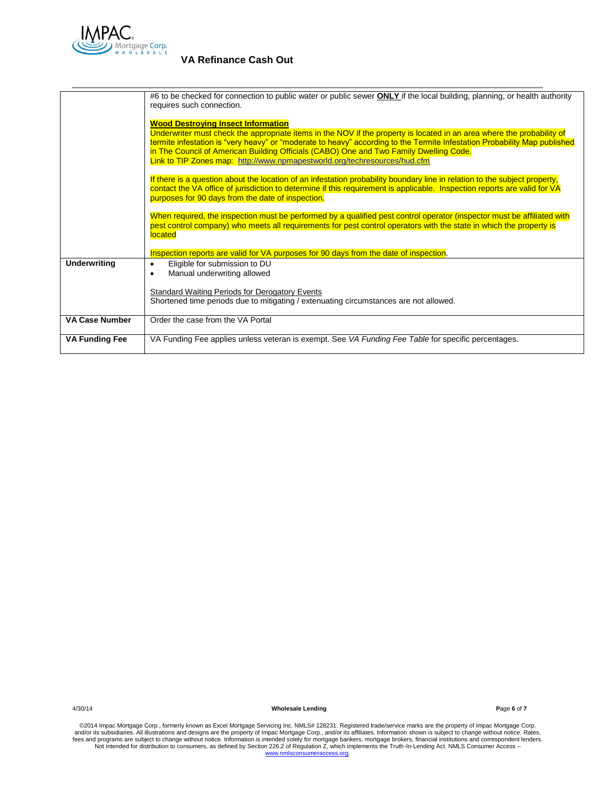

|                                                                                                                                                                                                                                                                                                              | #6 to be checked for connection to public water or public sewer <b>ONLY</b> if the local building, planning, or health authority<br>requires such connection.                                                                                                                                                                                                                                                                                                           |
|--------------------------------------------------------------------------------------------------------------------------------------------------------------------------------------------------------------------------------------------------------------------------------------------------------------|-------------------------------------------------------------------------------------------------------------------------------------------------------------------------------------------------------------------------------------------------------------------------------------------------------------------------------------------------------------------------------------------------------------------------------------------------------------------------|
|                                                                                                                                                                                                                                                                                                              | <b>Wood Destroying Insect Information</b><br>Underwriter must check the appropriate items in the NOV if the property is located in an area where the probability of<br>termite infestation is "very heavy" or "moderate to heavy" according to the Termite Infestation Probability Map published<br>in The Council of American Building Officials (CABO) One and Two Family Dwelling Code.<br>Link to TIP Zones map: http://www.npmapestworld.org/techresources/hud.cfm |
| If there is a question about the location of an infestation probability boundary line in relation to the subject property,<br>contact the VA office of jurisdiction to determine if this requirement is applicable. Inspection reports are valid for VA<br>purposes for 90 days from the date of inspection. |                                                                                                                                                                                                                                                                                                                                                                                                                                                                         |
|                                                                                                                                                                                                                                                                                                              | When required, the inspection must be performed by a qualified pest control operator (inspector must be affiliated with<br>pest control company) who meets all requirements for pest control operators with the state in which the property is<br>located                                                                                                                                                                                                               |
|                                                                                                                                                                                                                                                                                                              | Inspection reports are valid for VA purposes for 90 days from the date of inspection.                                                                                                                                                                                                                                                                                                                                                                                   |
| <b>Underwriting</b>                                                                                                                                                                                                                                                                                          | Eligible for submission to DU<br>$\bullet$<br>Manual underwriting allowed<br>٠                                                                                                                                                                                                                                                                                                                                                                                          |
|                                                                                                                                                                                                                                                                                                              | <b>Standard Waiting Periods for Derogatory Events</b><br>Shortened time periods due to mitigating / extenuating circumstances are not allowed.                                                                                                                                                                                                                                                                                                                          |
| <b>VA Case Number</b>                                                                                                                                                                                                                                                                                        | Order the case from the VA Portal                                                                                                                                                                                                                                                                                                                                                                                                                                       |
| <b>VA Funding Fee</b>                                                                                                                                                                                                                                                                                        | VA Funding Fee applies unless veteran is exempt. See VA Funding Fee Table for specific percentages.                                                                                                                                                                                                                                                                                                                                                                     |

4/30/14 **Wholesale Lending P**age **6** of **7**